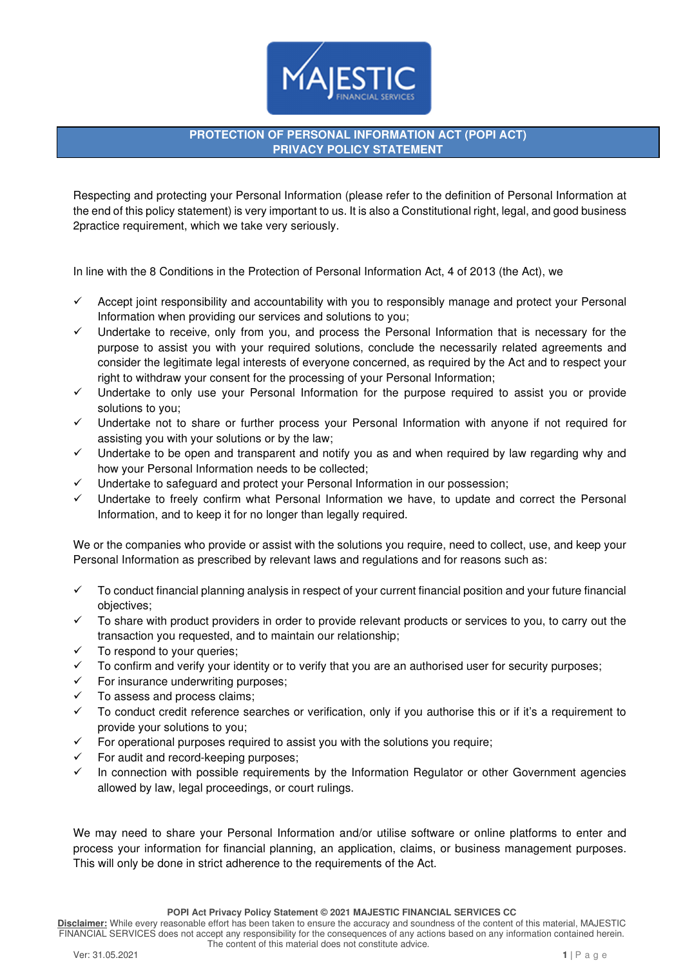

## **PROTECTION OF PERSONAL INFORMATION ACT (POPI ACT) PRIVACY POLICY STATEMENT**

Respecting and protecting your Personal Information (please refer to the definition of Personal Information at the end of this policy statement) is very important to us. It is also a Constitutional right, legal, and good business 2practice requirement, which we take very seriously.

In line with the 8 Conditions in the Protection of Personal Information Act, 4 of 2013 (the Act), we

- $\checkmark$  Accept joint responsibility and accountability with you to responsibly manage and protect your Personal Information when providing our services and solutions to you;
- Undertake to receive, only from you, and process the Personal Information that is necessary for the purpose to assist you with your required solutions, conclude the necessarily related agreements and consider the legitimate legal interests of everyone concerned, as required by the Act and to respect your right to withdraw your consent for the processing of your Personal Information;
- $\checkmark$  Undertake to only use your Personal Information for the purpose required to assist you or provide solutions to you;
- Undertake not to share or further process your Personal Information with anyone if not required for assisting you with your solutions or by the law;
- $\checkmark$  Undertake to be open and transparent and notify you as and when required by law regarding why and how your Personal Information needs to be collected;
- Undertake to safeguard and protect your Personal Information in our possession;
- Undertake to freely confirm what Personal Information we have, to update and correct the Personal Information, and to keep it for no longer than legally required.

We or the companies who provide or assist with the solutions you require, need to collect, use, and keep your Personal Information as prescribed by relevant laws and regulations and for reasons such as:

- $\checkmark$  To conduct financial planning analysis in respect of your current financial position and your future financial objectives;
- To share with product providers in order to provide relevant products or services to you, to carry out the transaction you requested, and to maintain our relationship;
- $\checkmark$  To respond to your queries;
- $\checkmark$  To confirm and verify your identity or to verify that you are an authorised user for security purposes;
- $\checkmark$  For insurance underwriting purposes;
- To assess and process claims;
- $\checkmark$  To conduct credit reference searches or verification, only if you authorise this or if it's a requirement to provide your solutions to you;
- For operational purposes required to assist you with the solutions you require;
- $\checkmark$  For audit and record-keeping purposes;
- In connection with possible requirements by the Information Regulator or other Government agencies allowed by law, legal proceedings, or court rulings.

We may need to share your Personal Information and/or utilise software or online platforms to enter and process your information for financial planning, an application, claims, or business management purposes. This will only be done in strict adherence to the requirements of the Act.

**POPI Act Privacy Policy Statement © 2021 MAJESTIC FINANCIAL SERVICES CC** 

**Disclaimer:** While every reasonable effort has been taken to ensure the accuracy and soundness of the content of this material, MAJESTIC FINANCIAL SERVICES does not accept any responsibility for the consequences of any actions based on any information contained herein. The content of this material does not constitute advice.